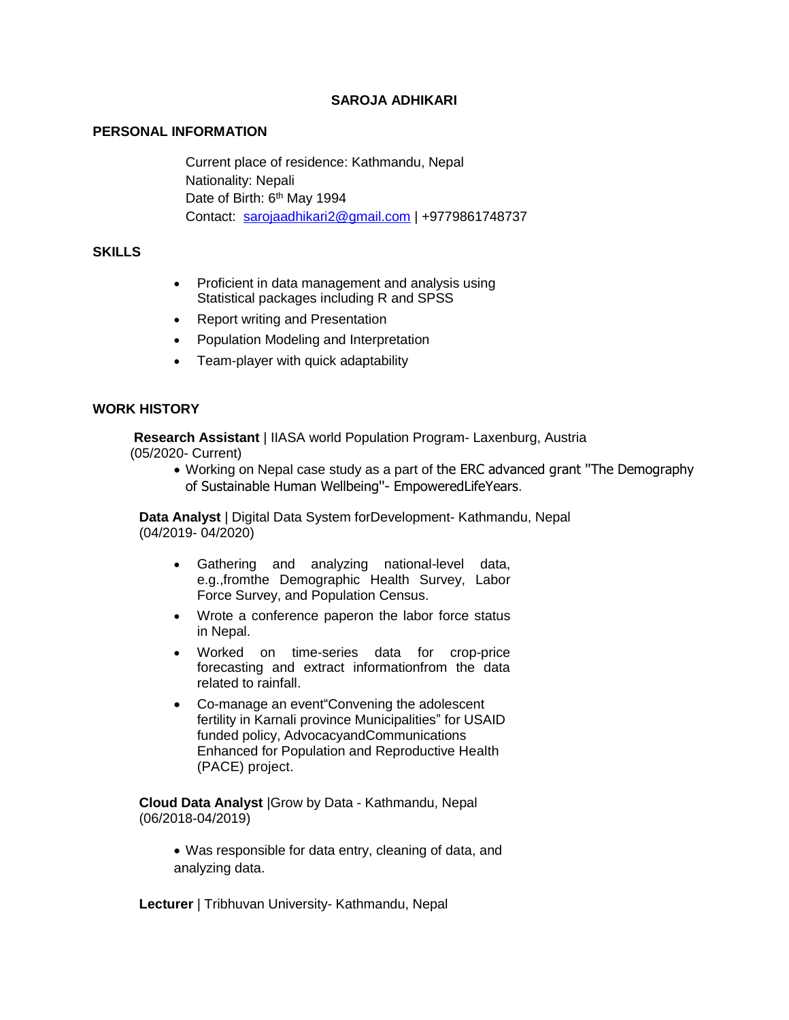# **SAROJA ADHIKARI**

# **PERSONAL INFORMATION**

Current place of residence: Kathmandu, Nepal Nationality: Nepali Date of Birth: 6<sup>th</sup> May 1994 Contact: [sarojaadhikari2@gmail.com](mailto:sarojaadhikari2@gmail.com) | +9779861748737

## **SKILLS**

- Proficient in data management and analysis using Statistical packages including R and SPSS
- Report writing and Presentation
- Population Modeling and Interpretation
- Team-player with quick adaptability

## **WORK HISTORY**

 **Research Assistant** | IIASA world Population Program- Laxenburg, Austria (05/2020- Current)

 Working on Nepal case study as a part of the ERC advanced grant ''The Demography of Sustainable Human Wellbeing''- EmpoweredLifeYears.

**Data Analyst** | Digital Data System forDevelopment- Kathmandu, Nepal (04/2019- 04/2020)

- Gathering and analyzing national-level data, e.g.,fromthe Demographic Health Survey, Labor Force Survey, and Population Census.
- Wrote a conference paperon the labor force status in Nepal.
- Worked on time-series data for crop-price forecasting and extract informationfrom the data related to rainfall.
- Co-manage an event"Convening the adolescent fertility in Karnali province Municipalities" for USAID funded policy, AdvocacyandCommunications Enhanced for Population and Reproductive Health (PACE) project.

**Cloud Data Analyst** |Grow by Data - Kathmandu, Nepal (06/2018-04/2019)

 Was responsible for data entry, cleaning of data, and analyzing data.

**Lecturer** | Tribhuvan University- Kathmandu, Nepal